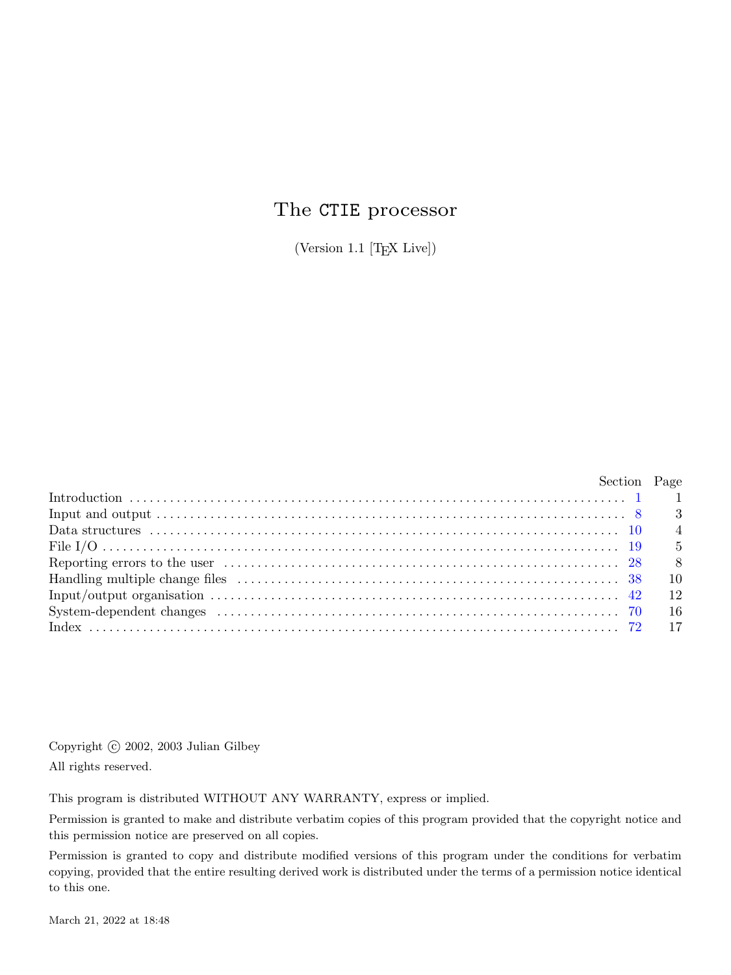# The CTIE processor

(Version 1.1 [TEX Live])

| Section Page                                            |      |
|---------------------------------------------------------|------|
|                                                         |      |
|                                                         |      |
| Data structures …………………………………………………………………………………… 10 $4$ |      |
|                                                         | 5    |
|                                                         | - 8  |
|                                                         | 10   |
|                                                         |      |
|                                                         | - 16 |
|                                                         |      |

Copyright *⃝*c 2002, 2003 Julian Gilbey All rights reserved.

This program is distributed WITHOUT ANY WARRANTY, express or implied.

Permission is granted to make and distribute verbatim copies of this program provided that the copyright notice and this permission notice are preserved on all copies.

Permission is granted to copy and distribute modified versions of this program under the conditions for verbatim copying, provided that the entire resulting derived work is distributed under the terms of a permission notice identical to this one.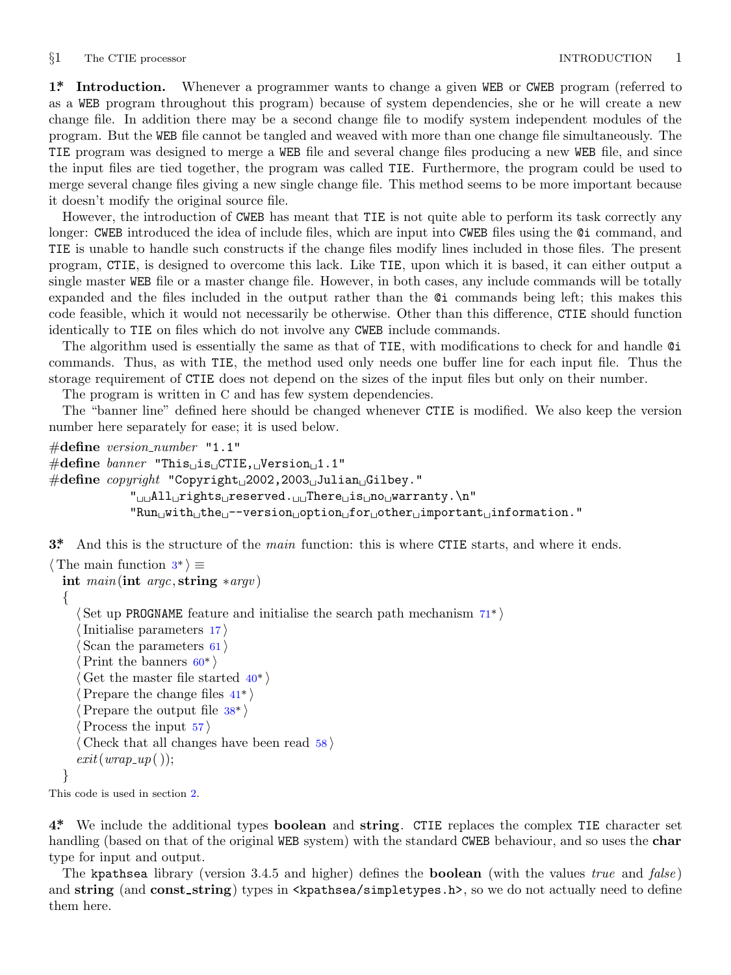<span id="page-1-0"></span>*§*1 The CTIE processor INTRODUCTION 1

**1\*. Introduction.** Whenever a programmer wants to change a given WEB or CWEB program (referred to as a WEB program throughout this program) because of system dependencies, she or he will create a new change file. In addition there may be a second change file to modify system independent modules of the program. But the WEB file cannot be tangled and weaved with more than one change file simultaneously. The TIE program was designed to merge a WEB file and several change files producing a new WEB file, and since the input files are tied together, the program was called TIE. Furthermore, the program could be used to merge several change files giving a new single change file. This method seems to be more important because it doesn't modify the original source file.

However, the introduction of CWEB has meant that TIE is not quite able to perform its task correctly any longer: CWEB introduced the idea of include files, which are input into CWEB files using the  $Q$  command, and TIE is unable to handle such constructs if the change files modify lines included in those files. The present program, CTIE, is designed to overcome this lack. Like TIE, upon which it is based, it can either output a single master WEB file or a master change file. However, in both cases, any include commands will be totally expanded and the files included in the output rather than the @i commands being left; this makes this code feasible, which it would not necessarily be otherwise. Other than this difference, CTIE should function identically to TIE on files which do not involve any CWEB include commands.

The algorithm used is essentially the same as that of TIE, with modifications to check for and handle @i commands. Thus, as with TIE, the method used only needs one buffer line for each input file. Thus the storage requirement of CTIE does not depend on the sizes of the input files but only on their number.

The program is written in C and has few system dependencies.

The "banner line" defined here should be changed whenever CTIE is modified. We also keep the version number here separately for ease; it is used below.

```
#define version number "1.1"
#define banner "This␣is␣CTIE,␣Version␣1.1"
#define copyright "Copyright␣2002,2003␣Julian␣Gilbey."
           "␣␣All␣rights␣reserved.␣␣There␣is␣no␣warranty.\n"
           "Run␣with␣the␣−−version␣option␣for␣other␣important␣information."
```
**3\*.** And this is the structure of the *main* function: this is where CTIE starts, and where it ends.

```
⟨ The main function 3* ⟩ ≡
 int main(int argc, string ∗argv )
 {
    ⟨ Set up PROGNAME feature and initialise the search path mechanism 71* ⟩
    ⟨Initialise parameters 17 ⟩
     ⟨ Scan the parameters 61 ⟩
     ⟨Print the banners 60* ⟩
     ⟨ Get the master file started 40* ⟩
     ⟨Prepare the change files 41* ⟩
     ⟨Prepare the output file 38* ⟩
     ⟨Process the input 57 ⟩
    ⟨ Check that all changes have been read 58 ⟩
    exit(wrap\_up());}
```
This code is used in section 2.

**4\*.** We include the additional types **boolean** and **string**. CTIE replaces the complex TIE character set handling (based on that of the original WEB system) with the standard CWEB behaviour, and so uses the **char** type for input and output.

The kpathsea library (version 3.4.5 and higher) defines the **boolean** (with the values *true* and *false* ) and **string** (and **const\_string**) types in  $\langle$ kpathsea/simpletypes.h>, so we do not actually need to define them here.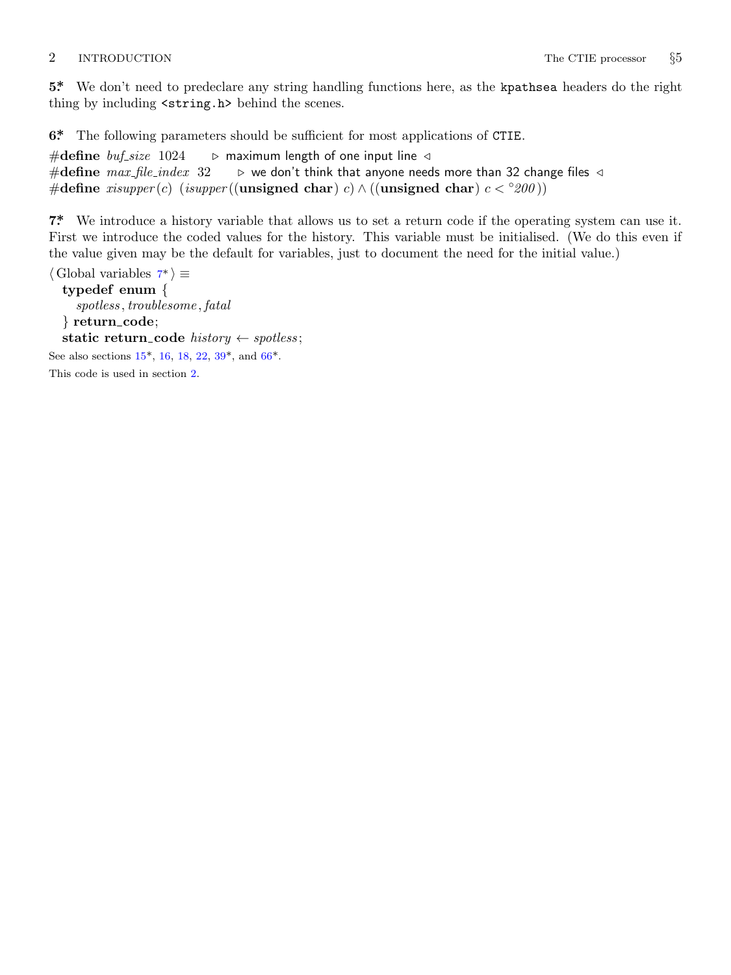<span id="page-2-0"></span>**5\*.** We don't need to predeclare any string handling functions here, as the kpathsea headers do the right thing by including <string.h> behind the scenes.

**6\*.** The following parameters should be sufficient for most applications of CTIE.

#**define** *buf size* 1024 *▷* maximum length of one input line *◁* #**define** *max file index* 32 *▷* we don't think that anyone needs more than 32 change files *◁* #**define** *xisupper* (*c*) (*isupper* ((**unsigned char**) *c*) *∧* ((**unsigned char**) *c < ◦200* ))

**7\*.** We introduce a history variable that allows us to set a return code if the operating system can use it. First we introduce the coded values for the history. This variable must be initialised. (We do this even if the value give[n m](#page-4-0)ay be the [de](#page-10-0)fault [for](#page-14-0) variables, just to document the need for the initial value.)

```
⟨ Global variables 7* ⟩ ≡
  typedef enum {
     spotless , troublesome , fatal
  } return code;
  static return_code history \leftarrow spots;See also sections 15*, 16, 18, 22, 39*, and 66*.
This code is used in section 2.
```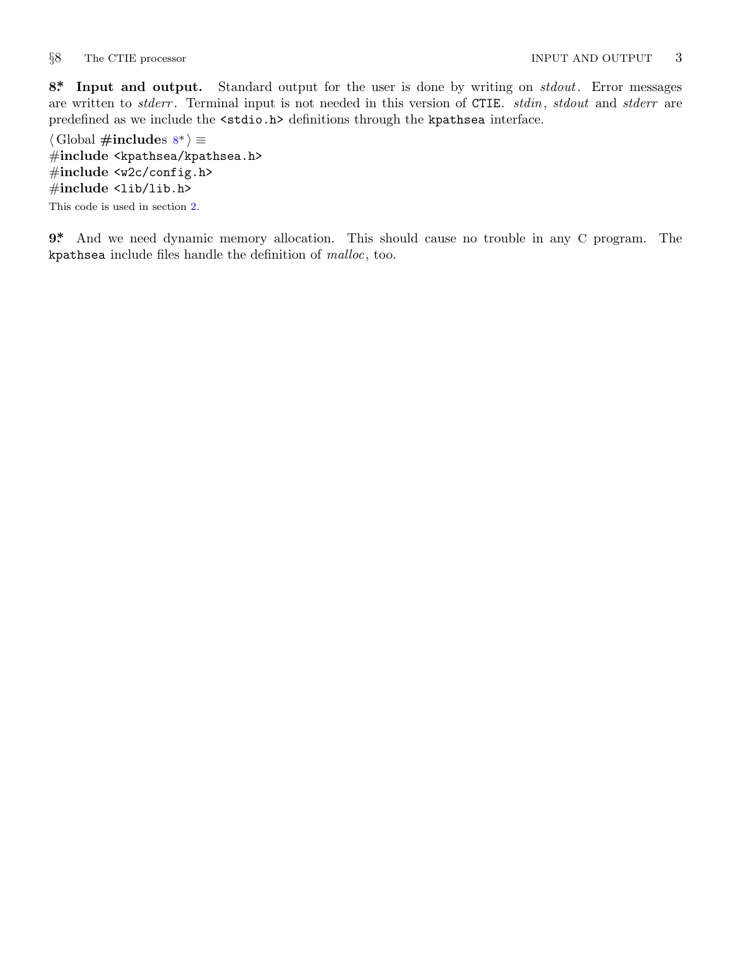<span id="page-3-0"></span>

**8\*. Input and output.** Standard output for the user is done by writing on *stdout*. Error messages are written to *stderr* . Terminal input is not needed in this version of CTIE. *stdin*, *stdout* and *stderr* are predefined as we include the <stdio.h> definitions through the kpathsea interface.

*⟨* Global **#include**s 8\* *⟩ ≡* #**include** <kpathsea/kpathsea.h> #**include** <w2c/config.h> #**include** <lib/lib.h> This code is used in section 2.

**9\*.** And we need dynamic memory allocation. This should cause no trouble in any C program. The kpathsea include files handle the definition of *malloc*, too.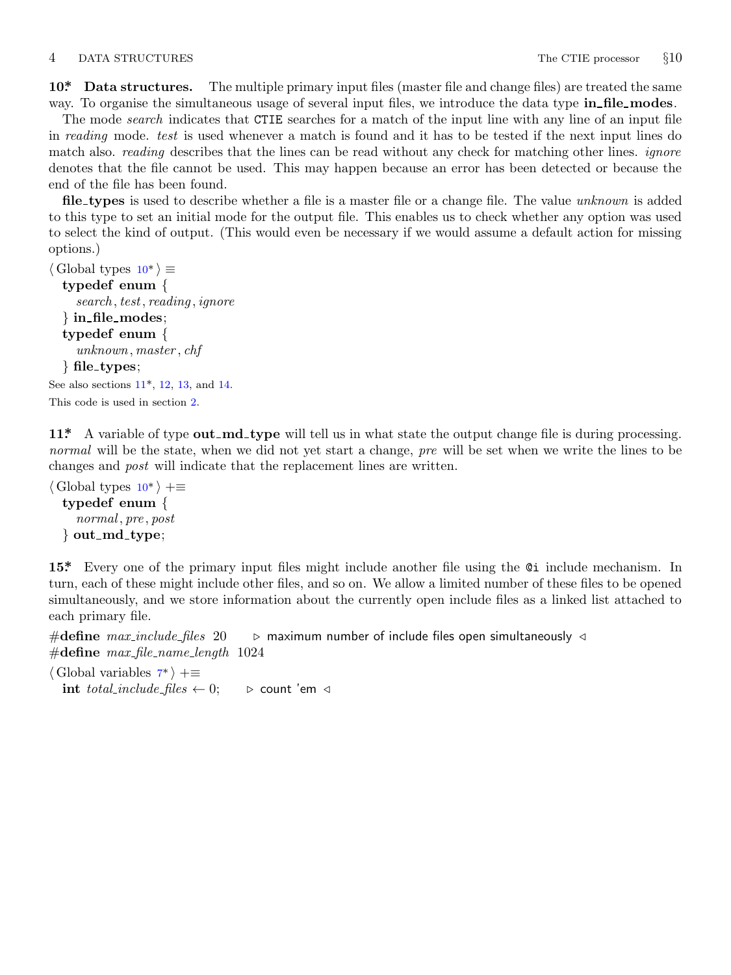### <span id="page-4-0"></span>4 DATA STRUCTURES The CTIE processor *§*10

**10\*. Data structures.** The multiple primary input files (master file and change files) are treated the same way. To organise the simultaneous usage of several input files, we introduce the data type **in file modes**.

The mode *search* indicates that CTIE searches for a match of the input line with any line of an input file in *reading* mode. *test* is used whenever a match is found and it has to be tested if the next input lines do match also. *reading* describes that the lines can be read without any check for matching other lines. *ignore* denotes that the file cannot be used. This may happen because an error has been detected or because the end of the file has been found.

**file types** is used to describe whether a file is a master file or a change file. The value *unknown* is added to this type to set an initial mode for the output file. This enables us to check whether any option was used to select the kind of output. (This would even be necessary if we would assume a default action for missing options.)

```
⟨ Global types 10* ⟩ ≡
  typedef enum {
    search , test, reading , ignore
  } in file modes;
  typedef enum {
    unknown, master , chf
  } file types;
See also sections 11*, 12, 13, and 14.
This code is used in section 2.
```
**11\*.** A variable of type **out md type** will tell us in what state the output change file is during processing. *normal* will be the state, when we did not yet start a change, *pre* will be set when we write the lines to be changes and *post* will indicate that the replacement lines are written.

```
⟨ Global types 10* ⟩ +≡
 typedef enum {
    normal , pre , post
 } out md type;
```
**15\*.** Every one o[f](#page-2-0) the primary input files might include another file using the @i include mechanism. In turn, each of these might include other files, and so on. We allow a limited number of these files to be opened simultaneously, and we store information about the currently open include files as a linked list attached to each primary file.

#**define** *max include files* 20 *▷* maximum number of include files open simultaneously *◁* #**define** *max file name length* 1024

*⟨* Global variables 7\* *⟩* +*≡* **int** *total\_include\_files*  $\leftarrow$  0;  $\triangleright$  count 'em *⊲*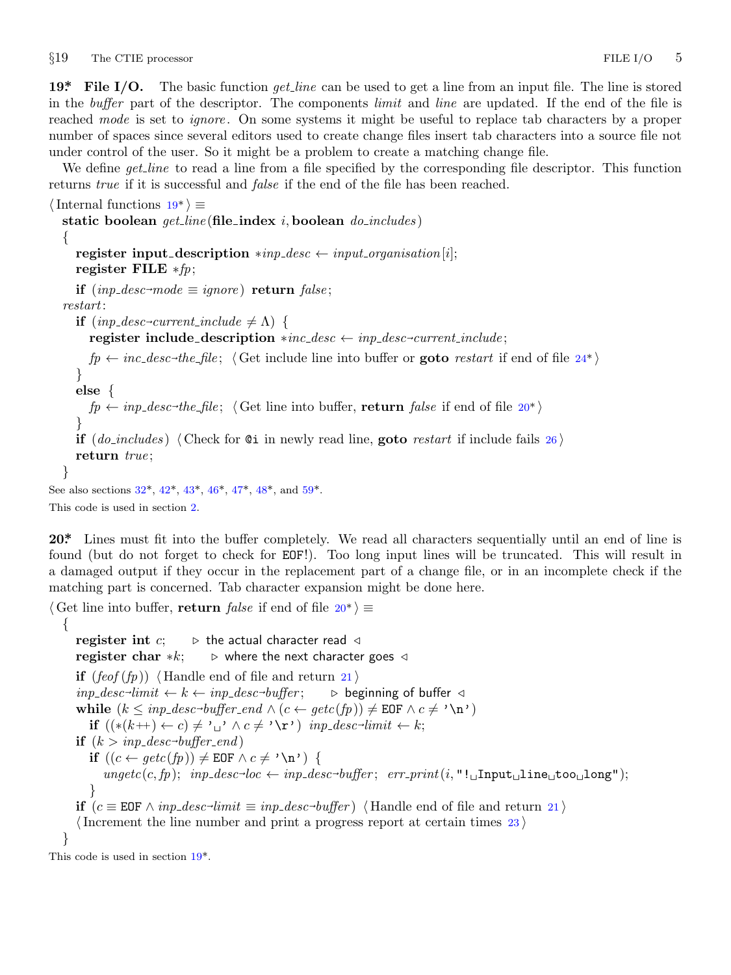<span id="page-5-0"></span>*§*19 The CTIE processor FILE I/O 5

**19\*. File I/O.** The basic function *get line* can be used to get a line from an input file. The line is stored in the *buffer* part of the descriptor. The components *limit* and *line* are updated. If the end of the file is reached *mode* is set to *ignore* . On some systems it might be useful to replace tab characters by a proper number of spaces since several editors used to create change files insert tab characters into a source file not under control of the user. So it might be a problem to create a matching change file.

We define *get line* to read a line from a file specified by the corresponding file descriptor. This function returns *true* if it is successful and *false* if the end of the file has been reached.

*⟨*Internal functions 19\* *⟩ ≡* **static boolean** *get line* (**file index** *i,* **boolean** *do includes* ) *{* **register input description**  $*inp\_desc \leftarrow input\_organization[i];$ **register FILE** *∗fp*; **if**  $(inp\_desc \rightarrow mode \equiv ignore)$  **return**  $false$ ; *restart*:  $\textbf{if} \text{ } (\textit{inp\_desc} \textit{-current\_include} \neq \Lambda) \text{ } \{ \}$  ${\bf register~include;}\ {\bf description~} * inc\_desc \leftarrow inp\_desc \neg current\_include;$  $fp \leftarrow inc\_desc\text{-}the\_file$ ;  $\langle$  Get include line into buffer or **goto** *restart* if end of file 24\* $\rangle$ *}* **else** *{*  $fp \leftarrow inp\_desc\rightarrow the\_file$  $fp \leftarrow inp\_desc\rightarrow the\_file$  $fp \leftarrow inp\_desc\rightarrow the\_file$  $fp \leftarrow inp\_desc\rightarrow the\_file$  $fp \leftarrow inp\_desc\rightarrow the\_file$  $fp \leftarrow inp\_desc\rightarrow the\_file$  $fp \leftarrow inp\_desc\rightarrow the\_file$  $fp \leftarrow inp\_desc\rightarrow the\_file$ ;  $\langle$  [Get l](#page-13-0)ine i[nto](#page-13-0) buffer, **return** *false* if end of file 20\*) *}* **if** (*do includes* ) *⟨* Check for @i in newly read line, **goto** *restart* if include fails 26 *⟩* **return** *true* ; *}* See also sections 32\*, 42\*, 43\*, 46\*, 47\*, 48\*, and 59\*. This code is used in section 2.

**20\*.** Lines must fit into the buffer completely. We read all characters sequentially until an end of line is found (but do not forget to check for EOF!). Too long input lines will be truncated. This will result in a damaged output if they occur in the replacement part of a change file, or in an incomplete check if the matching part is concerned. Tab character expansion might be done here.

```
⟨ Get line into buffer, return false if end of file 20* ⟩ ≡
   {
      register int c; ▷ the actual character read ◁
      register char ∗k; ▷ where the next character goes ◁
      if (feof (fp)) \langle Handle end of file and return 21\rangleinp\_desc\rightarrow limit \leftarrow k \leftarrow inp\_desc\rightarrowbuffer ; ▷ beginning of buffer ◁
       while (k \leq np\_desc\text{-}buffer\_end \wedge (c \leftarrow getc(fp)) \neq \texttt{EOF} \wedge c \neq \text{'\n} \wedge n'if ((*(k++) \leftarrow c) \neq \text{'}\cup \text{'} \wedge c \neq \text{'}\setminus \text{r'}) inp_desc<sup>→</sup>limit \leftarrow k;
       \textbf{if} \ (k > \text{inp\_desc}\text{-}\text{buffer\_end})if ((c ← getc(fp)) ≠ EOF \land c ≠ ' \ln') {
              \text{ungetc}(c, fp); \quad \text{inp\_desc-loc} \leftarrow \text{inp\_desc-buffer}; \quad \text{err\_print}(i, "!\text{uInput\_line\_too\_long");}}
       if (c \equiv \texttt{EOF} \land \textit{inp\_desc-limit} \equiv \textit{inp\_desc-buffer}) \langle Handle end of file and return 21\rangle⟨Increment the line number and print a progress report at certain times 23 ⟩
   }
This code is used in section 19*.
```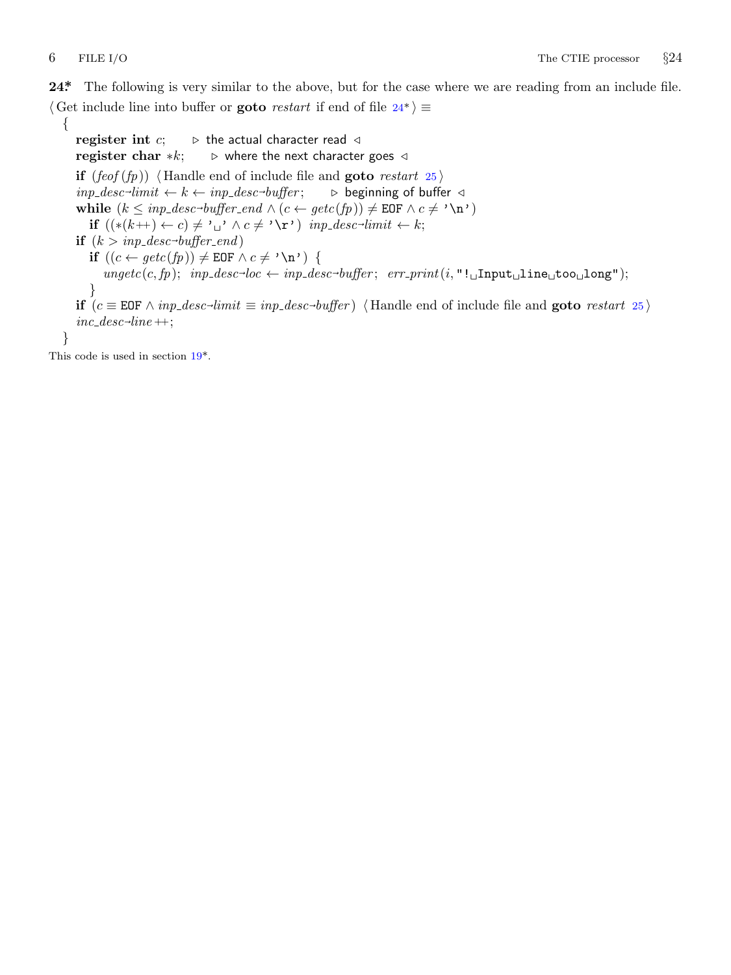<span id="page-6-0"></span>**24\*.** The following is very similar to the above, but for the case where we are reading from an include file. *⟨* Get include line into buffer or **goto** *restart* if end of file 24\* *⟩ ≡*

*{* **register int** *c*; *▷* the actual character read *◁* **register char** *∗k*; *▷* where the next character goes *◁* **if**  $(feof (fp))$   $\langle$  Handle end of include file and **goto** *restart* 25  $\rangle$  $\mathit{imp\_desc\text{-}limit} \leftarrow k \leftarrow \mathit{inp\_desc\text{-}}$ *buffer* ; *▷* beginning of buffer *◁* **while**  $(k \leq np\_desc\text{-}buffer\_end \land (c \leftarrow getc(fp)) \neq \texttt{EOF} \land c \neq \text{'\`n'}$ **if**  $((*(k++) \leftarrow c) \neq \text{'}\cup \text{'} \wedge c \neq \text{'}\setminus \text{r'})$  *inp\_desc*<sup>→</sup>*limit*  $\leftarrow k$ ;  $\textbf{if} \ (k > \text{inp\_desc}\text{-}\text{buffer\_end})$ **if**  $((c \leftarrow getc(fp)) \neq \texttt{EOF} \land c \neq ' \n\backslash n' )$  $((c \leftarrow getc(fp)) \neq \texttt{EOF} \land c \neq ' \n\backslash n' )$  $((c \leftarrow getc(fp)) \neq \texttt{EOF} \land c \neq ' \n\backslash n' )$  {  $\text{ungetc}(c, fp); \quad \text{inp\_desc-loc} \leftarrow \text{inp\_desc-buffer}; \quad \text{err\_print}(i, "!\text{uInput\_line\_too\_long");}$ *}* **if**  $(c \equiv \texttt{EOF} \land \textit{inp\_desc-limit} \equiv \textit{inp\_desc-buffer})$   $\langle$  Handle end of include file and **goto** *restart* 25  $\rangle$  $inc\_desc$ <sup>-</sup> $line$ ++; *}*

This code is used in section 19\*.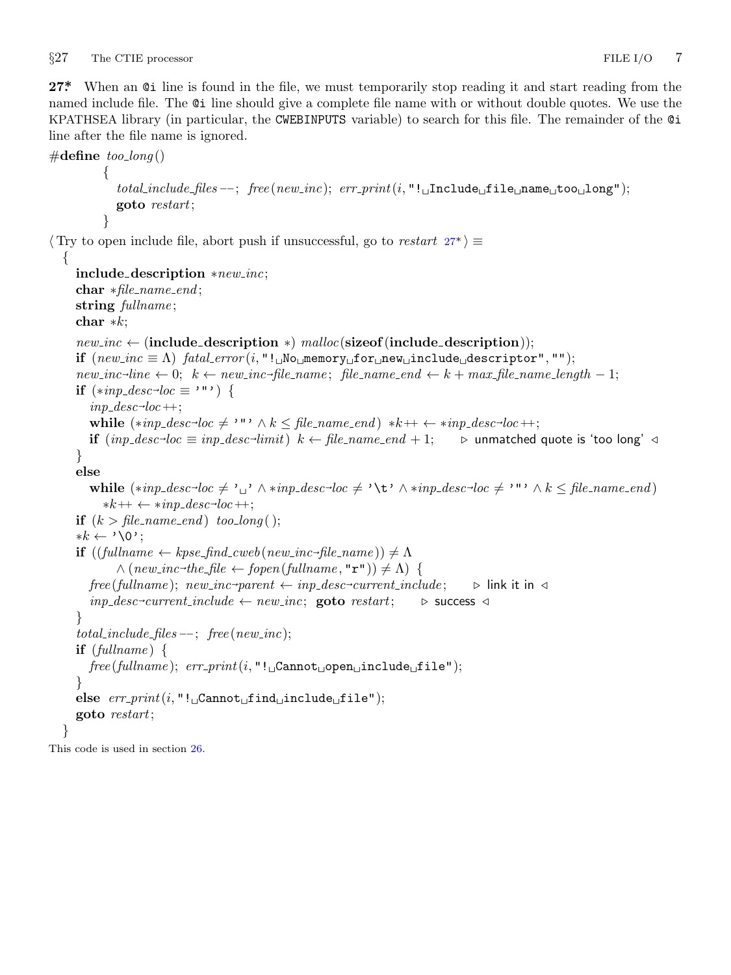<span id="page-7-0"></span>*§*27 The CTIE processor FILE I/O 7

27<sup>\*</sup> When an  $\mathfrak{G}$  line is found in the file, we must temporarily stop reading it and start reading from the named include file. The @i line should give a complete file name with or without double quotes. We use the KPATHSEA library (in particular, the CWEBINPUTS variable) to search for this file. The remainder of the @i line after the file name is ignored.

```
#define too long ()
           {
              total include files −−; free (new inc); err print(i, "!␣Include␣file␣name␣too␣long");
              goto restart;
           }
⟨ Try to open include file, abort push if unsuccessful, go to restart 27* ⟩ ≡
  {
     include description ∗new inc;
     char ∗file name end ;
     string fullname ;
     char ∗k;
     new\_inc \leftarrow (include_description *) malloc(sizeof(include_description));
     if (new\_inc \equiv \Lambda) fatal_error (i, "!, No, memory, for, new, include, descriptor", "");
     new\_inc\text{-}line \leftarrow 0; \ \ k \leftarrow new\_inc\text{-}file\_name; \ \ file\_name\_end \leftarrow k + max\_file\_name\_length - 1;if (*inp\_desc\_loc \equiv ' "') {
        inp\_desc\_loc++;while (*inp\_desc\_loc \neq \cdots \land k \leq file\_name\_end) *k++ \leftarrow *inp\_desc\_loc++;if (inp\_desc \rightarrow loc \equiv inp\_desc \rightarrowlimit) k ← file name end + 1; ▷ unmatched quote is 'too long' ◁
     }
     else
        while (*inp\_desc\_loc \neq '_{\sqcup'} \land *inp\_desc\_loc \neq ' \setminus t' \land *inp\_desc\_loc \neq '''' \land k \leq file\_name\_end)∗k++ ← ∗inp desc⃗
loc ++;
     if (k > file_name\_end) too_long();
     ∗k ← '\0';
     \mathbf{if} \left( (full name \leftarrow kpse\_find\_cweb(new\_inc \neg file\_name) \right) \neq \Lambda\wedge (new\_inc\_the\_file \leftarrow fopen(fullname, "r") \neq \Lambda) {
        free(fullname); \ new\_inc\text{-}parent \leftarrow inp\_desc\text{-}current\_include; \quad \triangleright \text{link it in } \triangleleftinp desc⃗
current include ← new inc; goto restart; ▷ success ◁
     }
     total\_include\_files --; free(new\_inc);if (fullname ) {
        free (fullname ); err print(i, "!␣Cannot␣open␣include␣file");
     }
     else err print(i, "!␣Cannot␣find␣include␣file");
     goto restart;
  }
```
This code is used in section 26.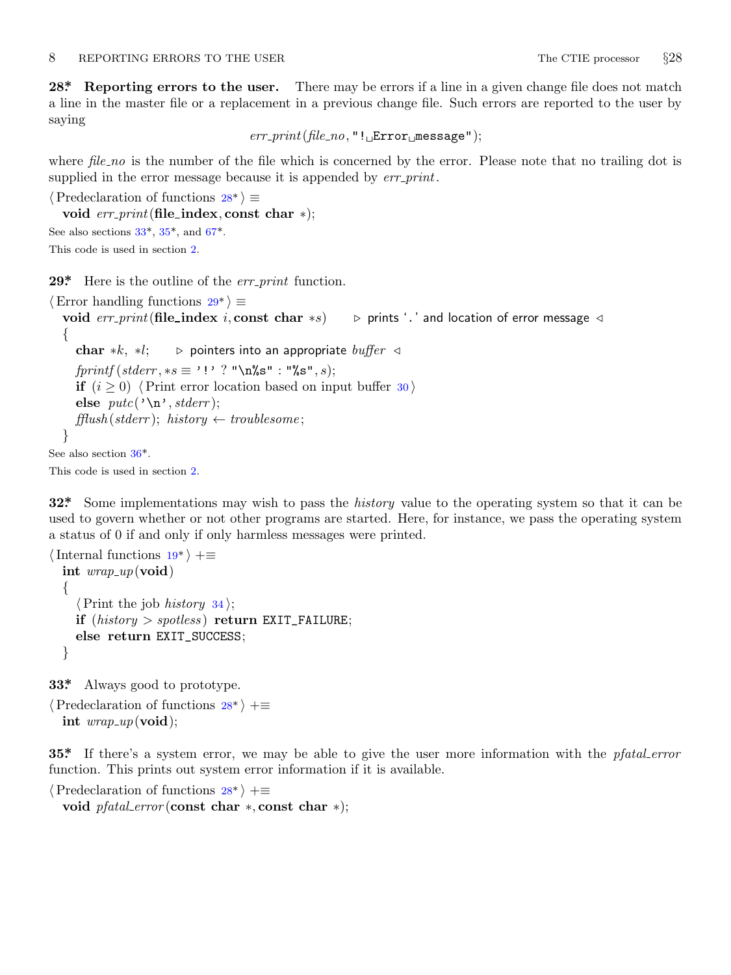<span id="page-8-0"></span>**28\*. Reporting errors to the user.** There may be errors if a line in a given change file does not match a line in the master file or a replacement in a previous change file. Such errors are reported to the user by saying

 $err\_print$ ( $file\_no$ , "!
<del>Lerror</u><sub>L</sub></sub>message");</del>

where *file\_no* is the number of the file which is concerned by the error. Please note that no trailing dot is supplied in the error message because it is appended by *err print*.

```
⟨Predeclaration of functions 28* ⟩ ≡
```

```
void err print(file index, const char ∗);
See also sections 33^*, 35^*, and 67^*.
This code is used in section 2.
```
**29\*.** Here is the outline of the *err print* function.

```
⟨Error handling functions 29* ⟩ ≡
   void err print(file index i, const char ∗s) ▷ prints '.' and location of error message ◁
   {
      char ∗k, ∗l; ▷ pointers into an appropriate buffer ◁
      fprintf(\mathit{stderr}, \ast s \equiv \cdot \cdot \cdot \cdot \cdot \cdot \cdot \cdot \cdot \cdot \cdot \cdot \cdotif (i \geq 0) \langle Print error location based on input buffer 30 \rangleelse putc' \nightharpoonup n', stderr);
      f\text{f}llush(\text{stderr});\text{ history} \leftarrow \text{troublesome};}
See also section 36*.
This code is used in section 2.
```
**32\*.** Some implementations may wish to pass the *history* value to the operating system so that it can be used to govern whether or not other programs are started. Here, for instance, we pass the operating system a status of 0 if and only if only harmless messages were printed.

```
⟨Internal functions 19* ⟩ +≡
  int wrap up(void)
  {
    ⟨Print the job history 34 ⟩;
    if (history > spotless ) return EXIT_FAILURE;
    else return EXIT_SUCCESS;
  }
```
**33\*.** Always good to prototype.

*⟨*Predeclaration of functions 28\* *⟩* +*≡* **int** *wrap up*(**void**);

**35\*.** If there's a system error, we may be able to give the user more information with the *pfatal error* function. This prints out system error information if it is available.

```
⟨Predeclaration of functions 28* ⟩ +≡
```
**void** *pfatal error* (**const char** *∗,* **const char** *∗*);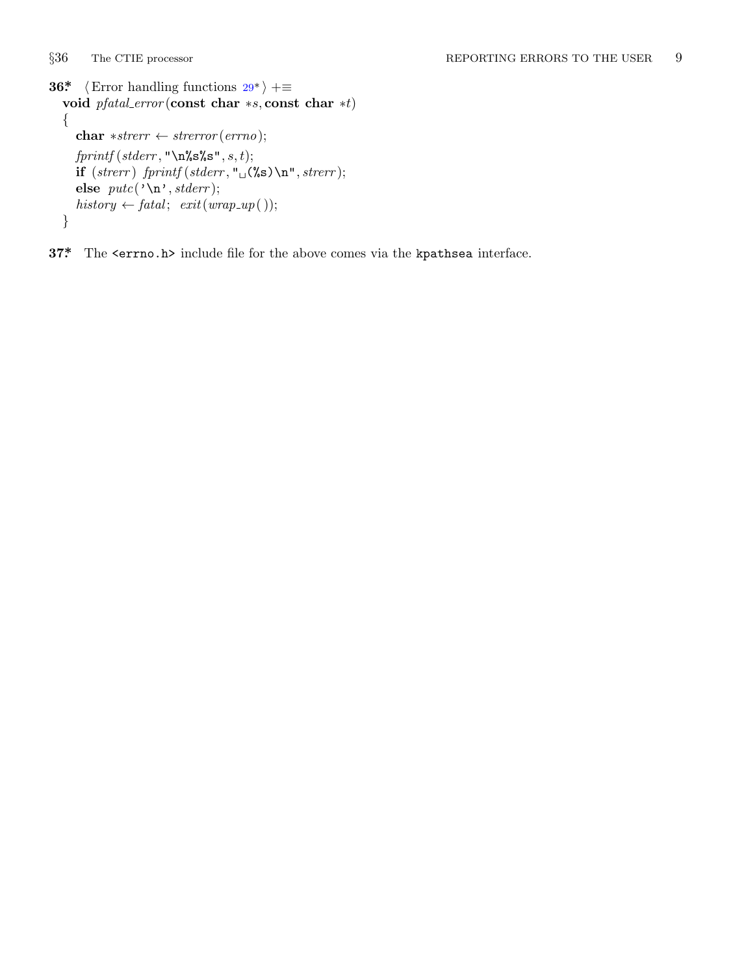<span id="page-9-0"></span>*§*36 The CTIE processor REPORTING ERRORS TO THE USER 9 **36\***  $\langle$  Error handling functions 29\* $\rangle$  += **void** *pfatal error* (**const char** *∗s,* **const char** *∗t*) *{* **char** *∗strerr ← strerror* (*errno*); *fprintf* (*stderr ,* "\n%s%s"*, s, t*);  $\mathbf{if}$  (*strerr*)  $\text{fprint}( \text{sderr}, \text{``} \cup \text{``s}) \ \text{''}, \text{strerr};$ **else** *putc*('\n'*, stderr* );  $history \leftarrow \text{fatal}; \; exit( \text{wrap\_up}( ));$ *}*

**37\*.** The <errno.h> include file for the above comes via the kpathsea interface.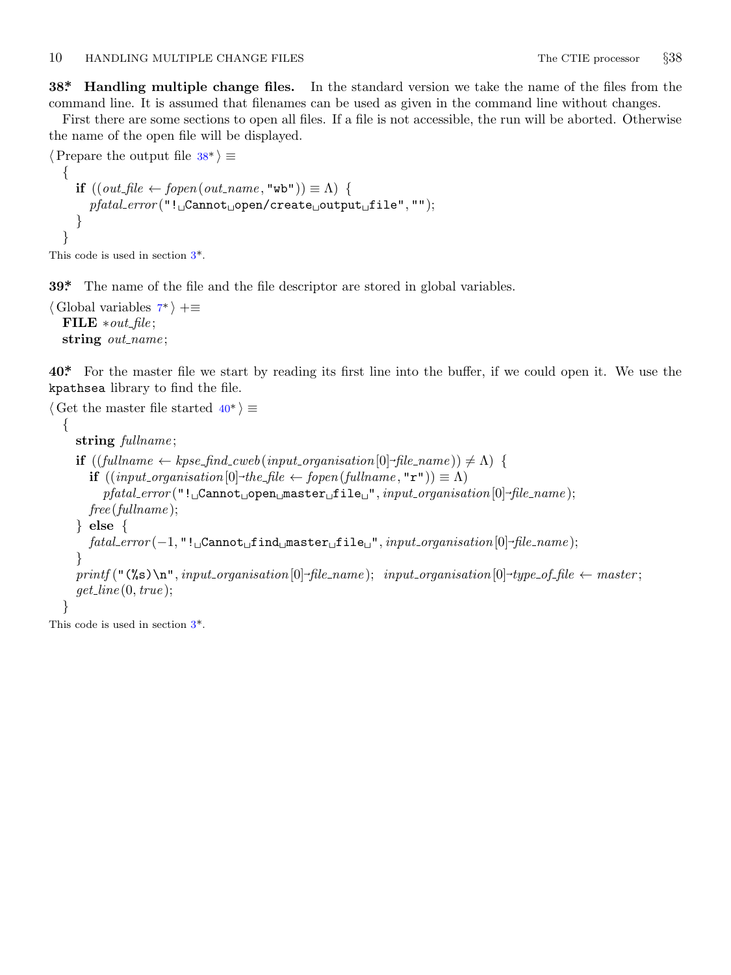<span id="page-10-0"></span>**38\*. Handling multiple change files.** In the standard version we take the name of the files from the command line. It is assumed that filenames can be used as given in the command line without changes.

First there are some sections to open all files. If a file is not accessible, the run will be aborted. Otherwise the name of the open file will be displayed.

```
⟨Prepare the output file 38* ⟩ ≡
   {
      \mathbf{if} ((\text{out\_file} \leftarrow \text{fopen}(\text{out\_name}, \text{``wb''})) \equiv \Lambda) {
         pfatal error ("!␣Cannot␣open/create␣output␣file", "");
      }
   }
This code is used in section 3*.
```
**39\*.** The name of the file and the file descriptor are stored in global variables.

```
⟨ Global variables 7* ⟩ +≡
 FILE ∗out file ;
 string out_name;
```
**40\*.** For the master file we start by reading its first line into the buffer, if we could open it. We use the kpathsea library to find the file.

```
⟨ Get the master file started 40* ⟩ ≡
  {
     string fullname ;
     \mathbf{if} \left( (full name \leftarrow k pse\_find\_cweb(input\_organisation[0] \rightarrow file\_name)) \neq \Lambda \right)if ((input\_organisation[0] \rightarrow the\_file \leftarrow fopen(fullname, "r") \equiv \Lambda)pfatal error ("!␣Cannot␣open␣master␣file␣", input organisation[0]⃗
file name );
        free (fullname );
     } else {
        fatal error (−1, "!␣Cannot␣find␣master␣file␣", input organisation[0]⃗
file name );
     }
     printf("(\%s) \n\infty^n, input\_organisation[0] \n\rightarrow file\_name); \n\{ input\_organisation[0] \n\rightarrow type\_of_file \n\leftarrow master;
     get line (0, true );
  }
```
This code is used in section 3\*.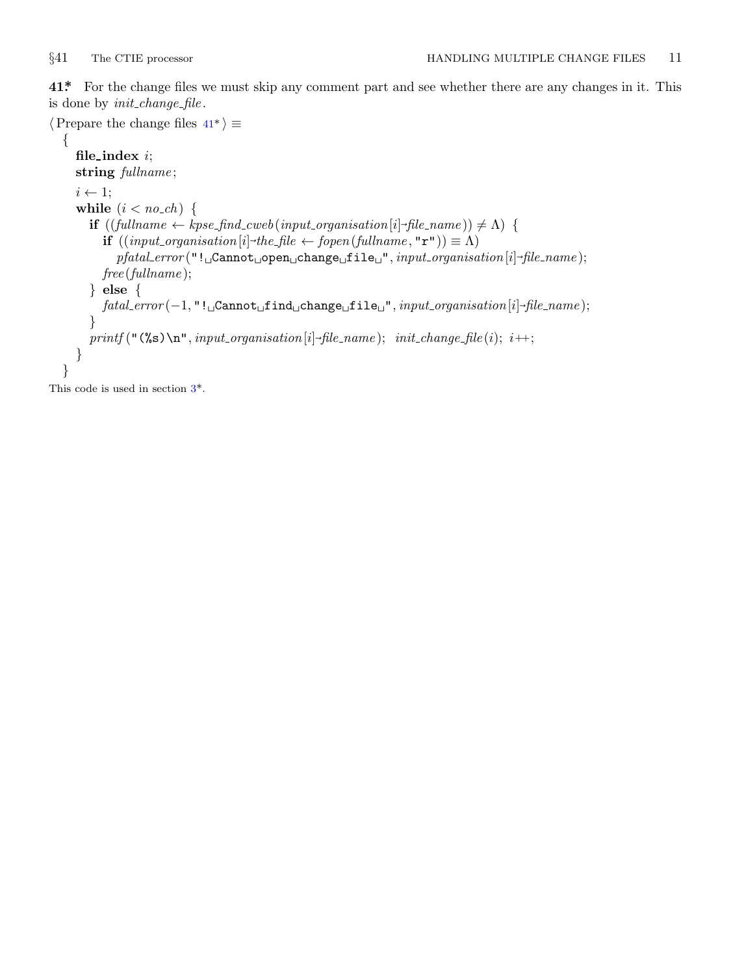<span id="page-11-0"></span>

**41\*.** For the change files we must skip any comment part and see whether there are any changes in it. This is done by *init change file* .

```
⟨Prepare the change files 41* ⟩ ≡
   {
        file index i;
        string fullname ;
       i ← 1;
        while (i < no\_ch) {
             if ((\text{fullname} \leftarrow \text{kpse\_find\_cweb}(\text{input\_organisation}[i] \rightarrow \text{file\_name})) \neq \Lambda) {
                 if ((input\_organisation[i] \rightarrow the\_file \leftarrow fopen(fullname, "r") \equiv \Lambda)pfatal error ("!␣Cannot␣open␣change␣file␣", input organisation[i]⃗
file name );
                 free (fullname );
            } else {
                 fatal error (−1, "!␣Cannot␣find␣change␣file␣", input organisation[i]⃗
file name );
             }
             printf("(\%s) \n\cdot n", input\_organisation[i] \n-file_name); init\_change \nfi [i] \n\cdot f(i) \n\cdot f(i) \n\cdot f(i) \n\cdot f(i) \n\cdot f(i) \n\cdot f(i) \n\cdot f(i) \n\cdot f(i) \n\cdot f(i) \n\cdot f(i) \n\cdot f(i) \n\cdot f(i) \n\cdot f(i) \n\cdot f(i) \n\cdot f(i) \n\cdot f(i) \n\cdot f(i) \n\cdot f(i) \n\cdot f(i) \n\cdot f(i) \n\cdot f(i) \n\cdot f(i) \n\cdot f(i) \n\cdot f(i) \n\cdot f(i) \n\cdot f(i) \n\cdot f}
   }
```
This code is used in section 3\*.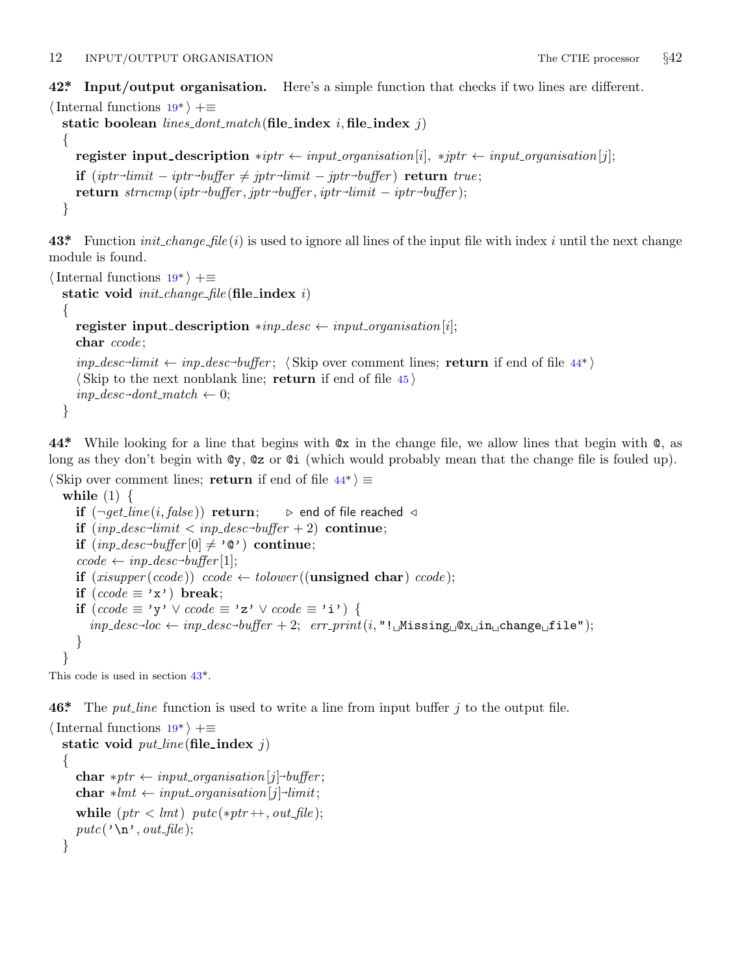<span id="page-12-0"></span>12 INPUT/OUTPUT ORGANISATION The CTIE processor *§*42

**42\*. Input/output organisation.** Here's a simple function that checks if two lines are different.

```
⟨Internal functions 19* ⟩ +≡
   static boolean lines dont match (file index i, file index j)
   {
       register input description *ipt \leftarrow input\_organisation[i], *ipt \leftarrow input\_organisation[j];iptr}\text{-}\textit{limit} - \textit{iptr}\text{-}\textit{buffer} \neq \textit{iptr}\text{-}\textit{limit} - \textit{iptr}\text{-}\textit{buffer}) \text{ } \textbf{return} \text{ } \textit{true};\mathbf{return} \ \mathit{strncmp}(\mathit{iptr}\text{-}\mathit{buffer}, \mathit{iptr}\text{-}\mathit{buffer}, \mathit{iptr}\text{-}\mathit{limit} - \mathit{iptr}\text{-}\mathit{buffer});}
```
**43\*.** Function *init change file* (*i*) is used to ignore all lines of the input file with index *i* until the next change module is found.

```
⟨Internal functions 19* ⟩ +≡
  static void init change file (file index i)
  {
     register input_description *inp\_desc \leftarrow input\_organization[i];char ccode ;
     inp\_desc\rightarrow limit \leftarrow inp\_desc\rightarrow buffer; \langleSkip over comment lines; return if end of file 44*\rangle⟨ Skip to the next nonblank line; return if end of file 45 ⟩
     inp\_desc\rightarrow dont\_match \leftarrow 0;}
```
**44\*.** While looking for a line that begins with @x in the change file, we allow lines that begin with @, as long as they don't begin with @y, @z or @i (which would probably mean that the change file is fouled up).

```
⟨ Skip over comment lines; return if end of file 44* ⟩ ≡
   while (1) {
      if (\neg get\_line(i, false)) return; \triangleright end of file reached \triangleleft\textbf{if} \ (inp\_desc\text{-}limit < inp\_desc\text{-}buffer + 2) \ \textbf{continue};\mathbf{if} \; (inp\_desc\rightarrow buffer[0] \neq \text{'@'} ) \; \mathbf{continue};\text{ccode} \leftarrow \text{inp\_desc \rightarrow \text{buffer}}[1];if (xisupper(ccode)) ccode \leftarrow tolower((unsigned char) ccode);if (ccode \equiv 'x') break;
      if (ccode ≡ 'y' ∨ ccode ≡ 'z' ∨ ccode ≡ 'i') {
          inp\_desc\rightarrow loc \leftarrow inp\_desc\rightarrow buffer + 2; \quad err\_print(i, "!\_\text{LMissing}\_\text{Q} x_\text{L}\text{in}\_\text{Lchange}\_\text{Lfile");}}
   }
```
This code is used in section 43\*.

**46\*.** The *put line* function is used to write a line from input buffer *j* to the output file.

```
⟨Internal functions 19* ⟩ +≡
  static void put\_line (file_index j)
  {
     {\bf char}\ *ptr\gets input\_organisation[j] \mbox{-}buffer;{\bf char} * lmt \leftarrow input\_organization[j] \rightarrow limit;while (ptr < lmt) putc(*ptr++, out_file);putc('\\n', out-file);}
```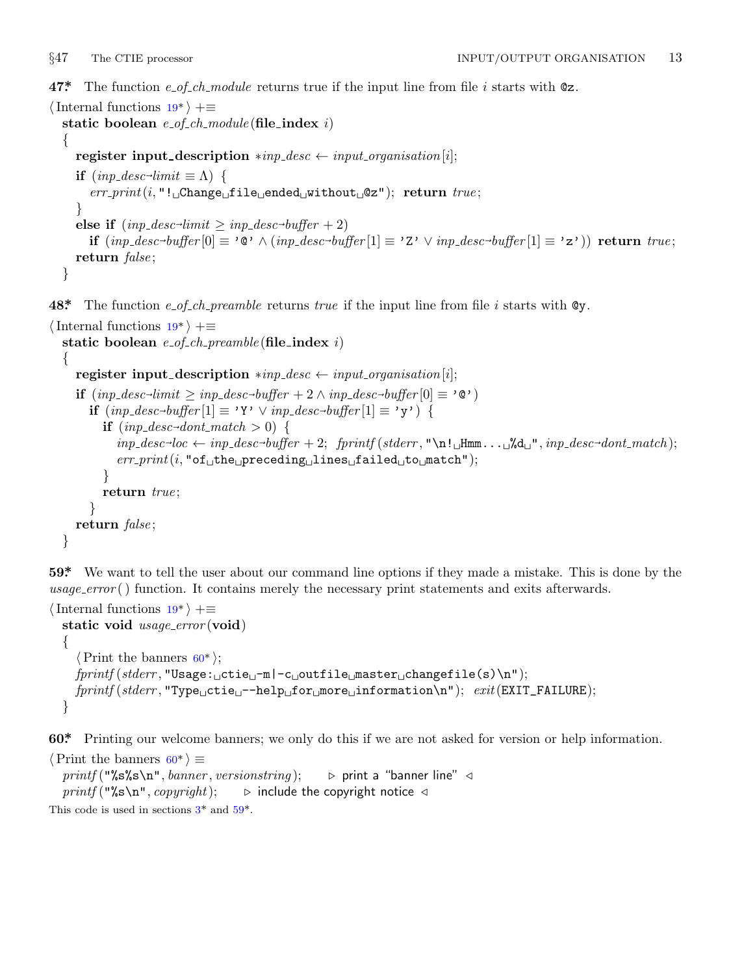<span id="page-13-0"></span>

**47\*.** The function *e of ch module* returns true if the input line from file *i* starts with @z.

```
⟨Internal functions 19* ⟩ +≡
  static boolean e of ch module (file index i)
  {
     register input description *inp\_desc \leftarrow input\_organization[i];if (\text{inp\_desc\_limit} \equiv \Lambda) {
        err print(i, "!␣Change␣file␣ended␣without␣@z"); return true ;
     }
      else if (sc<sup>→</sup>limit</sup> \geq inp_desc→buffer + 2)
         \mathbf{if} \; (inp\_desc\text{-}buffer[0] \equiv \text{'0'} \land (inp\_desc\text{-}buffer[1] \equiv \text{'Z'} \lor inp\_desc\text{-}buffer[1] \equiv \text{'z'}) \text{ return } true;return false ;
  }
```
**48\*.** The function *e of ch preamble* returns *true* if the input line from file *i* starts with @y.

```
⟨Internal functions 19* ⟩ +≡
  static boolean e of ch preamble (file index i)
  {
     register input_description *inp\_desc \leftarrow input\_organisation[i];if (inp\_desc\text{-}limit \geq inp\_desc\text{-}buffer + 2 ∧ inp\_desc\text{-}buffer[0] ≡ '@')if (inp\_desc \rightarrow buffer[1] ≡ 'Y' ∨ inp\_desc \rightarrow buffer[1] ≡ 'y') {
           if (inp\_desc\text{-}dont\_match > 0) {
              \phi inp_desc<sup>-loc</sup> \leftarrow inp_desc<sup>-buffer + 2; fprintf (stderr, "\n!<sub>□</sub>Hmm...<sub>□</sub>%d<sub>□</sub>", inp_desc<sup>-</sup>dont_match);</sup>
              err print(i, "of␣the␣preceding␣lines␣failed␣to␣match");
           }
           return true ;
        }
     return false ;
  }
```
**59\*.** We want to tell the user about our command line options if they made a mistake. This is done by the *usage error* ( ) function. It contains merely the necessary print statements and exits afterwards.

```
⟨Internal functions 19* ⟩ +≡
 static void usage error (void)
 {
    ⟨Print the banners 60* ⟩;
   fprintf (stderr , "Usage:␣ctie␣−m|−c␣outfile␣master␣changefile(s)\n");
   fprintf (stderr , "Type␣ctie␣−−help␣for␣more␣information\n"); exit(EXIT_FAILURE);
 }
```
**60\*.** Printing our welcome banners; we only do this if we are not asked for version or help information.

```
⟨Print the banners 60* ⟩ ≡
  printf ("%s%s\n", banner , versionstring ); ▷ print a "banner line" ◁
  printf ("%s\n", copyright); ▷ include the copyright notice ◁
This code is used in sections 3^* and 59^*.
```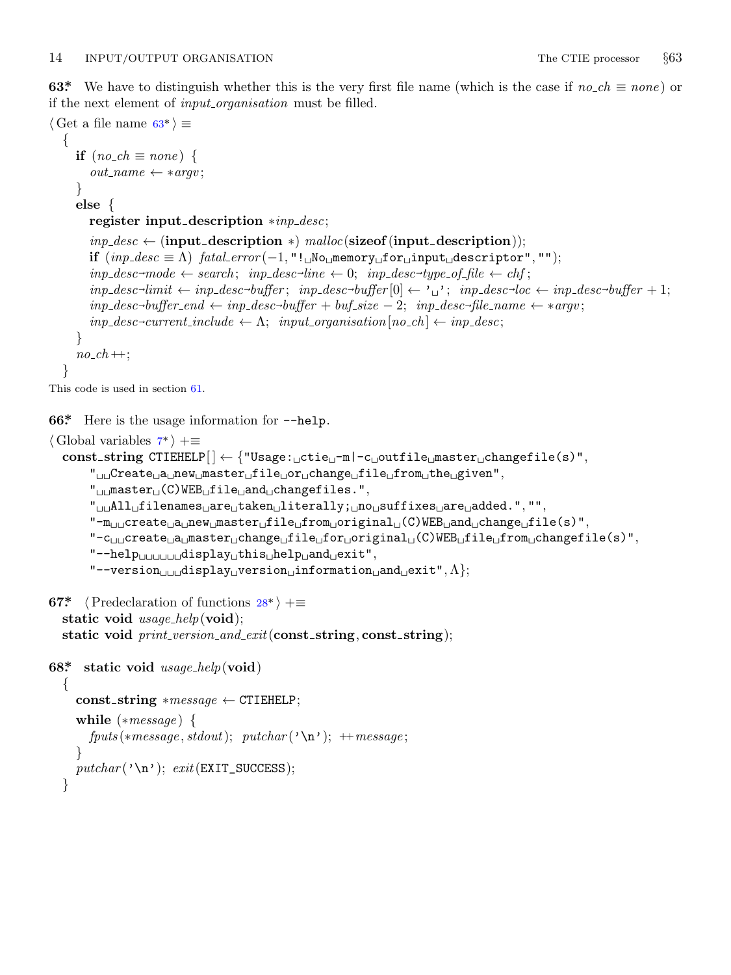<span id="page-14-0"></span>**63\*** We have to distinguish whether this is the very first file name (which is the case if  $no\_ch \equiv none$ ) or if the next element of *input organisation* must be filled.

```
⟨ Get a file name 63* ⟩ ≡
   {
      if (no\_ch \equiv none) {
          out_name \leftarrow * \textit{argv};
      }
      else {
          register input description ∗inp desc;
          inp\_desc \leftarrow (input\_description *) \text{ } malloc(\text{sizeof}(input\_description));if (inp\_desc \equiv \Lambda) fatal\_error(-1, "! \cup \text{No} \cup \text{memory} \cup \text{for} \cup \text{input} \cup \text{descriptive}(r", "");inp\_desc \rightarrow mode \leftarrow search; \; inp\_desc \rightarrow line \leftarrow 0; \; inp\_desc \rightarrow type \rightarrow of\_file \leftarrow chf;inp\_desc\rightarrow limit \leftarrow inp\_desc\rightarrow buffer;\;inp\_desc\rightarrow buffer[0] \leftarrow \text{'\text{u'}};\;inp\_desc\rightarrow loc \leftarrow inp\_desc\rightarrow buffer+1;inp\_desc\rightarrow buffer\_end \leftarrow inp\_desc\rightarrow buffer +buf\_size - 2; \ \ input\_desc\rightarrow file\_name \leftarrow *argv;inp\_desc\text{-}current\_include \leftarrow \Lambda; \; input\_organisation[no\_ch] \leftarrow inp\_desc;}
       no\_ch ++;
   }
This code is used in section 61.
66*. Here is the usage information for −−help.
⟨ Global variables 7* ⟩ +≡
   const string CTIEHELP[ ] ← {"Usage:␣ctie␣−m|−c␣outfile␣master␣changefile(s)",
```

```
"␣␣Create␣a␣new␣master␣file␣or␣change␣file␣from␣the␣given",
"␣␣master␣(C)WEB␣file␣and␣changefiles.",
"␣␣All␣filenames␣are␣taken␣literally;␣no␣suffixes␣are␣added.", "",
"−m␣␣create␣a␣new␣master␣file␣from␣original␣(C)WEB␣and␣change␣file(s)",
"−c␣␣create␣a␣master␣change␣file␣for␣original␣(C)WEB␣file␣from␣changefile(s)",
"−−help␣␣␣␣␣␣display␣this␣help␣and␣exit",
"−−version␣␣␣display␣version␣information␣and␣exit",Λ};
```

```
67* \langle Predeclaration of functions 28* \rangle +≡
```

```
static void usage help(void);
static void print version and exit(const string, const string);
```

```
68*. static void usage help(void)
  {
    const string ∗message ← CTIEHELP;
    while (∗message ) {
       fputs(*message, stdout); putchar(<math>'\n\lambda''); ++message;
     }
    putchar(' \n\cdot); exit(EXT \n\cdot SUCCESS);
  }
```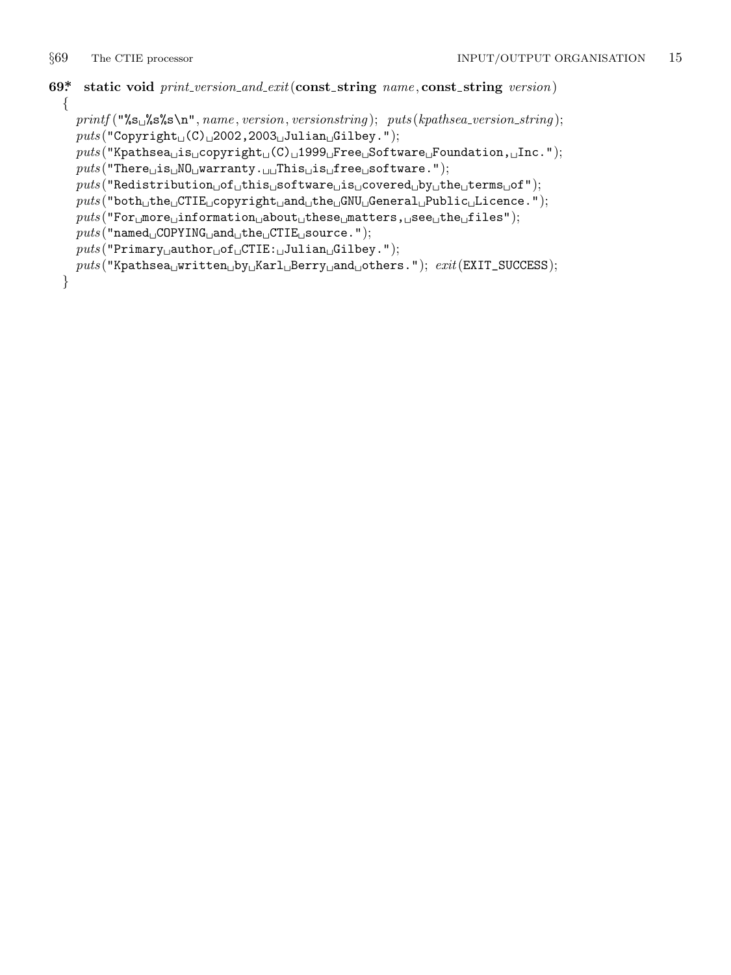```
69*. static void print version and exit(const string name , const string version)
 {
```

```
printf ("%s␣%s%s\n", name , version, versionstring ); puts (kpathsea version string );
  puts ("Copyright␣(C)␣2002,2003␣Julian␣Gilbey.");
  puts ("Kpathsea␣is␣copyright␣(C)␣1999␣Free␣Software␣Foundation,␣Inc.");
  puts ("There␣is␣NO␣warranty.␣␣This␣is␣free␣software.");
  puts ("Redistribution␣of␣this␣software␣is␣covered␣by␣the␣terms␣of");
  puts ("both␣the␣CTIE␣copyright␣and␣the␣GNU␣General␣Public␣Licence.");
  puts ("For␣more␣information␣about␣these␣matters,␣see␣the␣files");
  puts ("named␣COPYING␣and␣the␣CTIE␣source.");
  puts ("Primary␣author␣of␣CTIE:␣Julian␣Gilbey.");
  puts ("Kpathsea␣written␣by␣Karl␣Berry␣and␣others."); exit(EXIT_SUCCESS);
}
```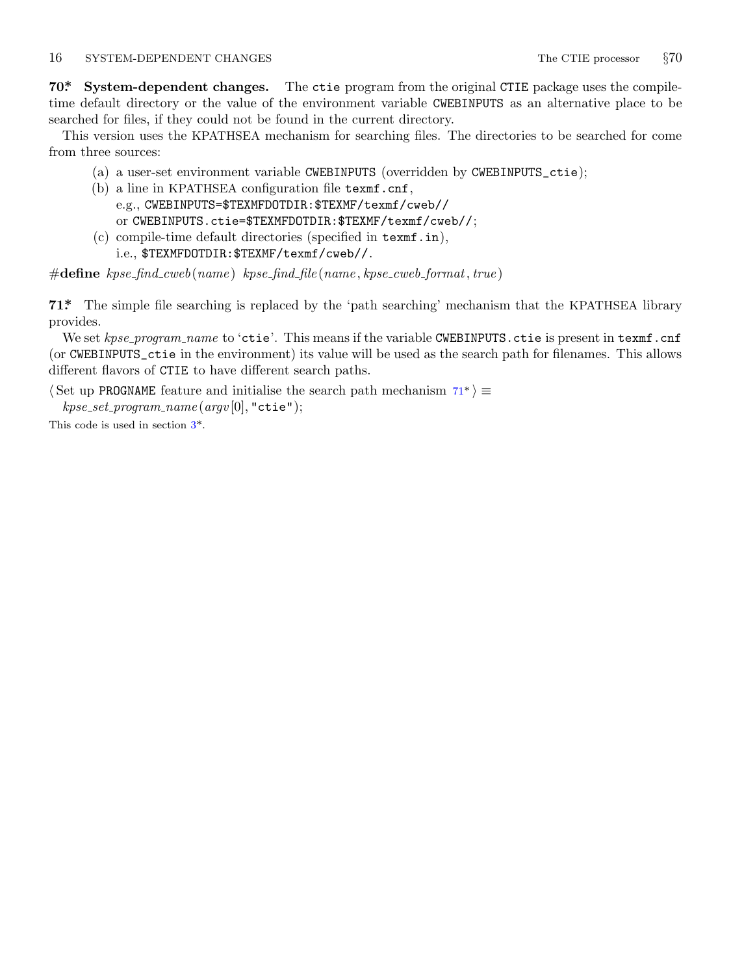### <span id="page-16-0"></span>16 SYSTEM-DEPENDENT CHANGES The CTIE processor **§70**

**70\*. System-dependent changes.** The ctie program from the original CTIE package uses the compiletime default directory or the value of the environment variable CWEBINPUTS as an alternative place to be searched for files, if they could not be found in the current directory.

This version uses the KPATHSEA mechanism for searching files. The directories to be searched for come from three sources:

- (a) a user-set environment variable CWEBINPUTS (overridden by CWEBINPUTS\_ctie);
- (b) a line in KPATHSEA configuration file texmf.cnf, e.g., CWEBINPUTS=\$TEXMFDOTDIR:\$TEXMF/texmf/cweb//
	- or CWEBINPUTS.ctie=\$TEXMFDOTDIR:\$TEXMF/texmf/cweb//;
- (c) compile-time default directories (specified in texmf.in), i.e., \$TEXMFDOTDIR:\$TEXMF/texmf/cweb//.

#**define** *kpse find cweb*(*name* ) *kpse find file* (*name , kpse cweb format, true* )

**71\*.** The simple file searching is replaced by the 'path searching' mechanism that the KPATHSEA library provides.

We set *kpse\_program\_[na](#page-1-0)me* to 'ctie'. This means if the variable CWEBINPUTS.ctie is present in texmf.cnf (or CWEBINPUTS\_ctie in the environment) its value will be used as the search path for filenames. This allows different flavors of CTIE to have different search paths.

*⟨* Set up PROGNAME feature and initialise the search path mechanism 71\* *⟩ ≡ kpse set program name* (*argv* [0]*,* "ctie");

This code is used in section 3\*.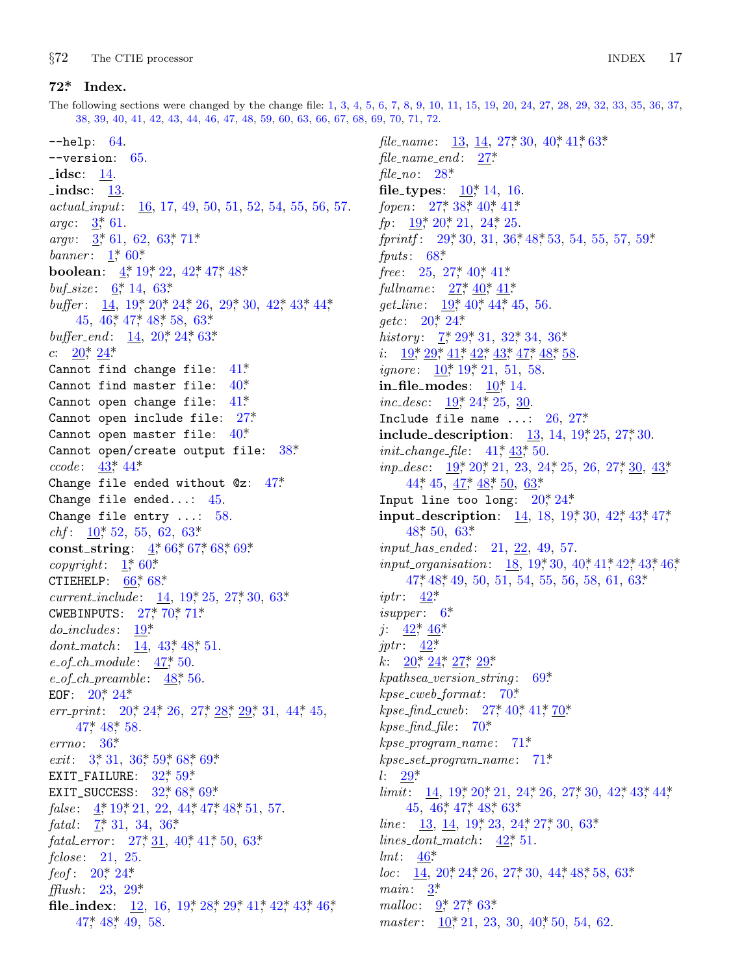<span id="page-17-0"></span>*§*72 The CTIE processor INDEX 17

## **72\*. Index.**

The following sections were changed by the change file: 1, 3, 4, 5, 6, 7, 8, 9, [10,](#page-7-0) 1[1,](#page-10-0) [15](#page-4-0), [1](#page-10-0)9, [20,](#page-11-0) 24, 27, 28, 29, 32, 33, 35, 36, 37, 38, [3](#page-1-0)9, 40, 41, 42, 43, 44, 46, 47, 48, 59, 60, 63, 66, 67, 68, 69, 70, [71,](#page-5-0) 7[2.](#page-5-0)

−−help[:](#page-1-0) 64. −−versio[n](#page-1-0): [65](#page-13-0). *idsc*: <u>14</u>. **indsc**: <u>[13](#page-2-0)</u>. *actual input*: 1[6,](#page-5-0) 1[7,](#page-6-0) 49, 50, [51](#page-8-0), 52, [54](#page-12-0), [55](#page-12-0), [56,](#page-12-0) 57. *argc*: 3[\\*,](#page-12-0) 61[.](#page-13-0) *argv*:  $\frac{3}{2}$ , 61, 62, [63](#page-5-0), [71](#page-6-0)\* *ban[ner](#page-5-0)* : [1](#page-6-0)\*, 60\*. **boolean**:  $4, 19, 22, 42, 47, 48$ \* *buf\_size*:  $\underline{6}^*$ , 14, 63\*. *buffer*: 14, 19, 20, 24, 26, 29, 30, 42, 43, 44, 45, 46, 47, 48, 58, 63\* *buffer\_end*: <u>14</u>, 20<sup>\*</sup>, 24<sup>\*</sup>, 63<sup>\*</sup>. *c*:  $20^*$ ,  $24^*$ Cannot [fi](#page-12-0)n[d c](#page-12-0)hange file:  $41^*$ Cannot find master file: 40\*. Cannot open change file:  $41^*$ Cannot open include file: 27\*. Canno[t o](#page-4-0)pen master [fi](#page-14-0)le: 40\*. Cannot open/c[re](#page-1-0)a[te](#page-14-0) [output](#page-14-0) [fi](#page-15-0)le:  $38*$ *ccode* : 43\*, [4](#page-1-0)4[\\*.](#page-13-0) Change fil[e ende](#page-14-0)d without @z: 47\*. Change file ended.[..](#page-5-0): 45[.](#page-7-0) Change file [ent](#page-7-0)[ry](#page-16-0) .[..](#page-16-0): 58. *chf* : 10\*, 52, [55](#page-5-0), 62, 63\*. **const\_string**:  $4,66$  $4,66$  $4,66$ \*, [67](#page-13-0)\*, 68\*, 69\*.  $copyright: 1, 60*$ CTIEHELP:  $66$ <sup>\*</sup>,  $68$ <sup>\*</sup> *current\_[in](#page-5-0)[clud](#page-6-0)e* : 14, 19, 25, 27, 30, 63\*. CWEBINPUTS[:](#page-5-0)  $27 * 70 * 71*$ *do i[ncludes](#page-13-0)* : 19\*. *dont\_ma[tch](#page-9-0)*: <u>14</u>, 43<sup>\*</sup>, 48<sup>\*</sup>, 51. *e of ch [m](#page-1-0)odu[le](#page-9-0)* : [47](#page-13-0)\*, [50](#page-14-0). *e of ch preamble* : [4](#page-8-0)[8\\*,](#page-13-0) 56. EOF:  $20^*$  24\* *err\_pri[nt](#page-1-0)*: [2](#page-5-0)0, 24, 2[6,](#page-12-0) 27, 28, 29, 31, 44, 45,  $47^*$  $47^*$ ,  $48^*$ , 58. *errno*: 36\*. *exit*: 3,\* 31, 36,\* 59,\* 68,\* 69.\* EXIT\_[FAI](#page-5-0)L[URE](#page-6-0):  $32$ <sup>\*</sup>,  $59$ <sup>\*</sup> EXIT\_SUCCE[SS](#page-8-0):  $32^*$ ,  $68^*$ ,  $69^*$ . *false*: <u>4</u>, 19, 21, 22, [44](#page-5-0), 47, 48, [51,](#page-11-0) [57.](#page-12-0) *fatal*[:](#page-13-0)  $7, 31, 34, 36*$ *fatal\_error*: 27, <u>31</u>, 40, 41, 50, 63\* *fclose* : 21, 25. *feof* : 20\*, 24\*. *fflush* : 23, 29\*. **file\_index**: 12, 16, 19\*, 28\*, 29\*, 41\*, 42\*, 43\*, 46\*, 47\*, 48\*, 49, 58.

*file\_name* [:](#page-8-0) 13, 14, 27,\* [30,](#page-13-0) 40,\* 41,\* 63\*. *file na[me](#page-14-0) end* : 27\*. *file no*: 2[8\\*.](#page-7-0) **file\_types**:  $10^*$  $10^*$ , 1[4,](#page-11-0) 16. fopen: 27,\* 38,\* 40,\* 41\*. *fp*: <u>19</u><sup>\*</sup>, 20<sup>\*</sup>, 21, 24<sup>\*</sup>, 25. *fprintf* : [29](#page-2-0), [30](#page-8-0), 31, [36](#page-8-0), 48, [53,](#page-9-0) 54, 55, 57, 59\*. *fpu[ts](#page-5-0)* : [68](#page-8-0)\*. *free*: [2](#page-4-0)5, 27[\\*,](#page-5-0) 40\*, 41\*. *fullname*:  $27, 40, 41$ \* *get\_line* : [19\\*,](#page-5-0) [40\\*,](#page-6-0) 44\*, 45, 56. getc: 20<sup>\*</sup>, 24<sup>\*</sup> *history* :  $7, 29, 31, 32, 34, 36$ \* *i*:  $19^*$ ,  $29^*$ ,  $41^*$  $41^*$ ,  $42^*$ ,  $43^*$ ,  $47^*$ ,  $48^*$ ,  $58$ . *ignore*: <u>10</u>, 19, 21, 51, 5[8.](#page-6-0)  $i$ **n**  $\Delta$ **[file](#page-12-0)**  $\Delta$ **mo[des](#page-13-0):**  $\Delta$ **[1](#page-13-0)0** $\angle$ **11[.](#page-14-0)** *inc\_desc*: <u>19</u><sup>\*</sup>, 24<sup>\*</sup>, 25, 30[.](#page-5-0) Include file name  $\ldots$ : [2](#page-5-0)6, 27\* **incl[ud](#page-13-0)e\_de[scr](#page-14-0)iption**: 13, 14, 19, \* 25, 27, \* 30. *init\_change\_file* :  $41^*$ ,  $43^*$ , 50. *inp\_desc*: <u>19</u>\*, [2](#page-5-0)0\*, 21, 23, 24\*, 2[5,](#page-10-0) 2[6,](#page-11-0) 2[7\\*,](#page-12-0) 3[0,](#page-12-0) 4[3\\*,](#page-12-0) [44\\*,](#page-13-0) [45](#page-13-0),  $\frac{47}{10}$ ,  $\frac{48}{10}$ ,  $\frac{63}{10}$ Input [li](#page-12-0)ne too long:  $20^*24^*$ **input de[sc](#page-2-0)ription**: <u>14</u>, 18, 19\*, 30, 42\*, 43\*, 47\* [48](#page-12-0)\*, [50](#page-12-0), 63\*. *input [has](#page-12-0) ended* : 21, 22, 49, 57. *inp[ut](#page-5-0) or[gan](#page-6-0)i[sat](#page-7-0)i[on](#page-8-0)*: 18, 19\*, 30, 40\*, 41\*, 42\*, 43\*, 46\*, 47\*, 48\*, 49, 50, 51, 54, [5](#page-15-0)5, 56, 58, 61, 63\*. *iptr* : 42<sup>\*</sup> *isupper*:  $6^*$ *j*:  $42^*$ ,  $46^*$ *jptr* : 42\*. *k*:  $20^*$ ,  $24^*$ ,  $27^*$ ,  $29^*$ *kpa[ths](#page-8-0)ea version string* : 69\*. *kpse cweb f[ormat](#page-5-0)*: 70[\\*.](#page-6-0) *kpse find [cw](#page-12-0)[eb](#page-13-0)*: [27](#page-13-0)\*, [40](#page-14-0)\*, 41\*, 70\*.  $k$ *pse\_find\_file* :  $70^*$  $70^*$ . *kpse program name* [:](#page-12-0) 71\*. *kpse s[et](#page-12-0) program name* : 71\*. *l*: 29\*. *limit*: [14](#page-1-0), 19<sup>\*</sup>, 20<sup>\*</sup>, 21, 24<sup>\*</sup>, 26, 27<sup>\*</sup>, 30, 42<sup>\*</sup>, 43<sup>\*</sup>, 44<sup>\*</sup> 45, [46](#page-3-0), [47](#page-7-0), [48](#page-14-0), 63\* *line* : 13, [14](#page-4-0), 19, 23, 24, [27](#page-10-0), 30, 63\*.  $lines\_dont\_match:$   $42^*$  51. *lmt*: 46\*. *loc*: 14, 20, 24, 26, 27, 30, 44, 48, 58, 63\* *main*: 3\*. *malloc*:  $9, 27, 63$ \* *master* :  $10^*$ , 21, 23, 30, 40<sup>\*</sup>, 50, 54, 62.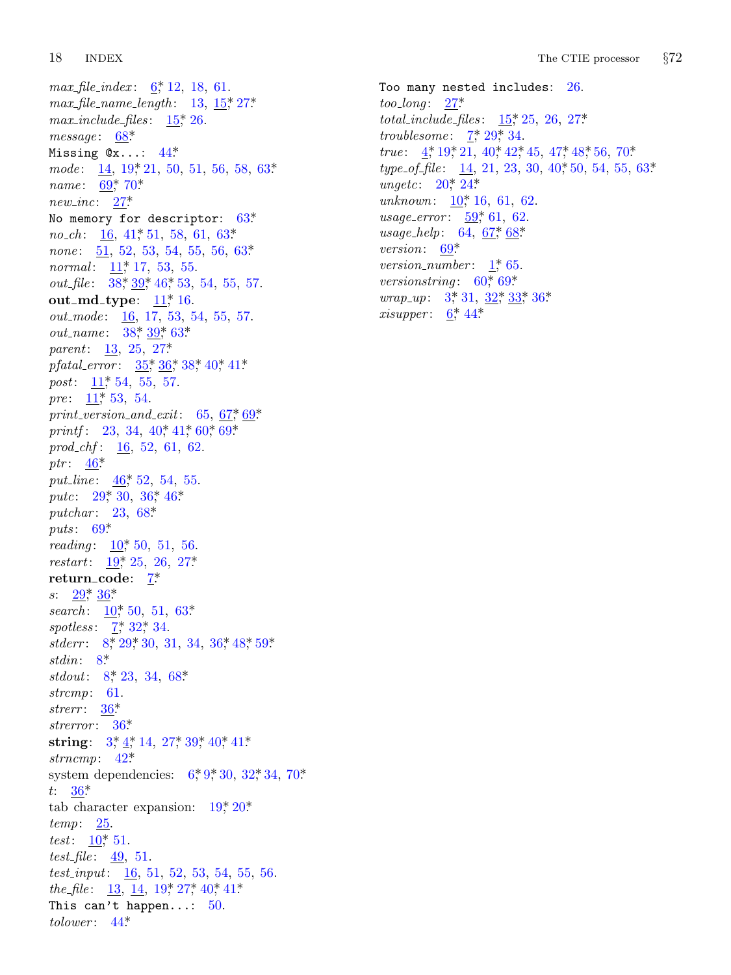*max file [ind](#page-15-0)[ex](#page-16-0)* : 6\*, 12, 18, 61. *max file n[ame](#page-7-0) length* : 13, 15\*, 27\*.  $max\_include\_files: 15^*26.$ *message* : 6[8\\*.](#page-11-0) Missing @x...: 44\*. *mode*: 1[4,](#page-4-0) 19, 21, 50, 51, 56, 58, 63\* *name*: 6[9\\*,](#page-10-0) 7[0\\*.](#page-10-0) *new inc*: 27\*. No memory for descriptor:  $63*$ *no\_ch*: <u>16</u>, [41](#page-10-0)<sup>\*</sup>, [51](#page-10-0), [58,](#page-14-0) 61, 63<sup>\*</sup> *none*: 51, 52, 5[3,](#page-7-0) 54, 55, 56, 63\* *normal*: <u>11</u>, [17,](#page-8-0) [53,](#page-9-0) [55.](#page-10-0) *out\_file* [:](#page-4-0) 38, 39, 46, 53, [54,](#page-10-0) [55,](#page-11-0) 57. **out\_[md](#page-4-0)\_type**:  $11$ <sup>\*</sup>, 16. *out\_mode*: <u>16</u>, 17, 53, 54, [55,](#page-14-0) [57.](#page-15-0) *out\_name*: 38, 39, 63\* *parent*: 13, 25, 27\*. *pfatal [err](#page-12-0)or* : 35\*, 36\*, 38\*, 40\*, 41\*. *post*: 11,\* [54](#page-12-0), 55, 57. *pre*: 11,\* 53, [54.](#page-9-0) *print version a[nd](#page-14-0) exit*: 65, 67\*, 69\*. *printf* : [2](#page-15-0)3, 34, 40, 41, 60, 69\* *prod chf* : [1](#page-4-0)6, 52, 61, 62. ptr: 46<sup>\*</sup>. *put\_line*:  $46$  $46$ <sup>\*</sup>, 5[2,](#page-2-0) 54, [55](#page-7-0). *putc*[:](#page-8-0) 29, 30, 36, 46\* *putchar* : [2](#page-4-0)3, 68\*. *puts* : 69[\\*](#page-2-0). *reading*: <u>10</u><sup>\*</sup>, 50, 51, 56. *restart*: 19\*, 25, 26, 27\*. **return\_[co](#page-3-0)de:** 7\* *s*:  $29^*$ ,  $36^*$ *search*: <u>[10](#page-9-0)</u><sup>\*</sup>, 50, 51, 63<sup>\*</sup>. *spotless*:  $7^*$  32<sup>\*</sup>, 34. stderr: 8,\* [29](#page-1-0),\* 30, [31](#page-7-0), [34](#page-10-0), [36](#page-10-0),\* [48](#page-11-0),\* 59.\* *stdin*: 8\*. *stdout*: 8\*, [23](#page-12-0), 34, 68[\\*](#page-2-0). *strc[mp](#page-9-0)*: 61. *strerr* : 36\*. *strerror* : 36\*. **string**[:](#page-4-0)  $3^*$ ,  $4^*$ ,  $14$ ,  $27^*$ ,  $39^*$ ,  $40^*$ ,  $41^*$ . *strncmp*: 42\*. system dependencies:  $6, 9, 30, 32, 34, 70$ \*. *t*: 36\*. tab character expansion:  $19^*20^*$ . *temp*: 25[.](#page-12-0) *test*:  $\frac{10}{51}$ . *test file* : 49, 51. *test input*: 16, 51, 52, 53, 54, 55, 56. *the\_file* :  $\frac{13}{14}$ ,  $\frac{14}{19}$ ,  $\frac{19}{17}$ ,  $\frac{27}{16}$ ,  $\frac{41}{16}$ This can't happen...:  $50$ . *tolower* : 44\*.

Too many [n](#page-5-0)e[ste](#page-6-0)d includes: 26. *too long* : [27\\*.](#page-4-0) *total include [files](#page-13-0)* : 15\*, 25, 26, 27\*. *troublesome*:  $\frac{7}{2}, \frac{29}{34}$  $\frac{7}{2}, \frac{29}{34}$  $\frac{7}{2}, \frac{29}{34}$  $\frac{7}{2}, \frac{29}{34}$  $\frac{7}{2}, \frac{29}{34}$ . *true*: 4\*, [19\\*,](#page-15-0) 21, 40\*, 42\*, 45, 47\*, 48\*, 56, 70\*. *type\_of\_file* : 14, 2[1,](#page-1-0) 23, 30, 40\*, 50, 54, 55, 63\*. *ungetc*:  $20^*$ ,  $24^*$ *unknown*: <u>[1](#page-1-0)0</u><sup>\*</sup>, 1[6,](#page-8-0) 6[1,](#page-8-0) 6[2.](#page-9-0) *usage\_error*[:](#page-2-0)  $\underline{59}$  $\underline{59}$  $\underline{59}$ <sup>\*</sup>, 61, 62. *usage\_help*: 64, <u>67</u>\*, 68\* *version*: 69\*. *version\_number* : 1,\* 65. *versionstring* : 60<sup>\*</sup>, 69<sup>\*</sup> *wrap\_up*: 3, 31, 32, 33, 36\* *xisupper* :  $6^*$  44\*